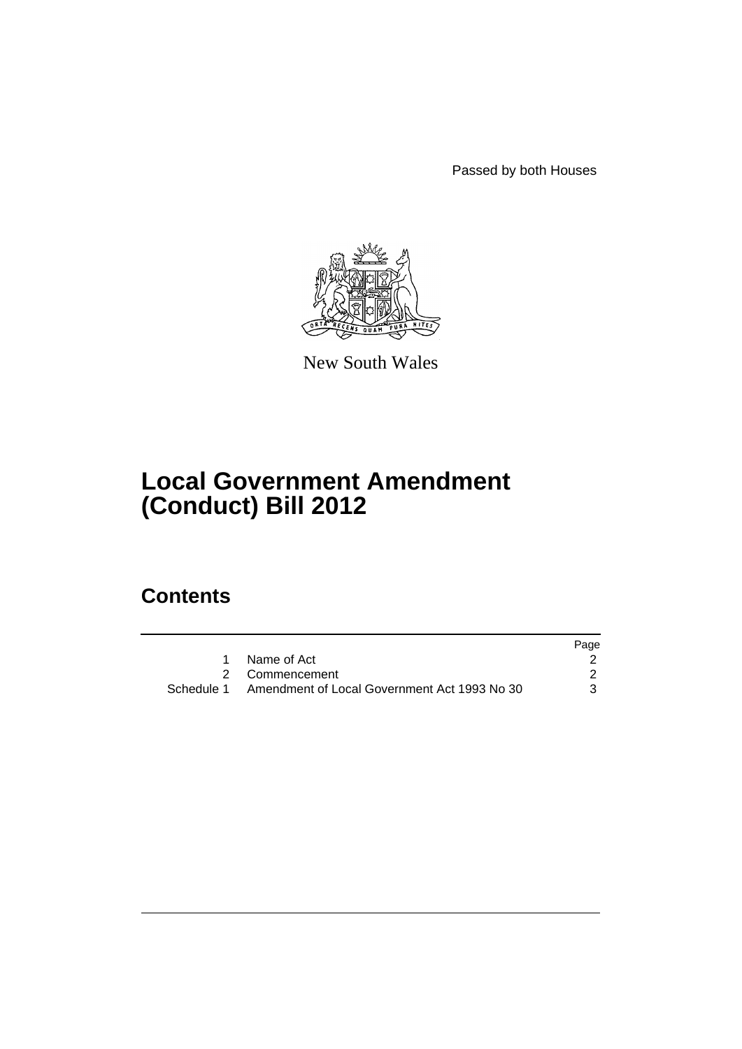Passed by both Houses



New South Wales

# **Local Government Amendment (Conduct) Bill 2012**

# **Contents**

|                                                         | Page |
|---------------------------------------------------------|------|
| Name of Act                                             |      |
| 2 Commencement                                          |      |
| Schedule 1 Amendment of Local Government Act 1993 No 30 | 3    |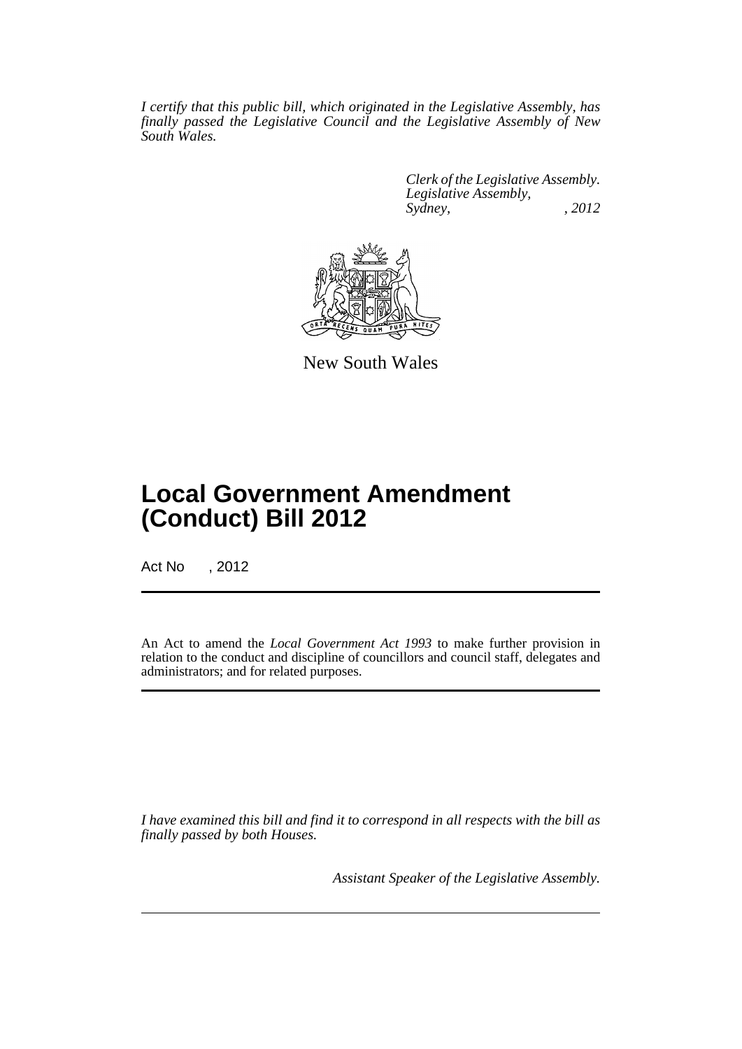*I certify that this public bill, which originated in the Legislative Assembly, has finally passed the Legislative Council and the Legislative Assembly of New South Wales.*

> *Clerk of the Legislative Assembly. Legislative Assembly, Sydney, , 2012*



New South Wales

# **Local Government Amendment (Conduct) Bill 2012**

Act No , 2012

An Act to amend the *Local Government Act 1993* to make further provision in relation to the conduct and discipline of councillors and council staff, delegates and administrators; and for related purposes.

*I have examined this bill and find it to correspond in all respects with the bill as finally passed by both Houses.*

*Assistant Speaker of the Legislative Assembly.*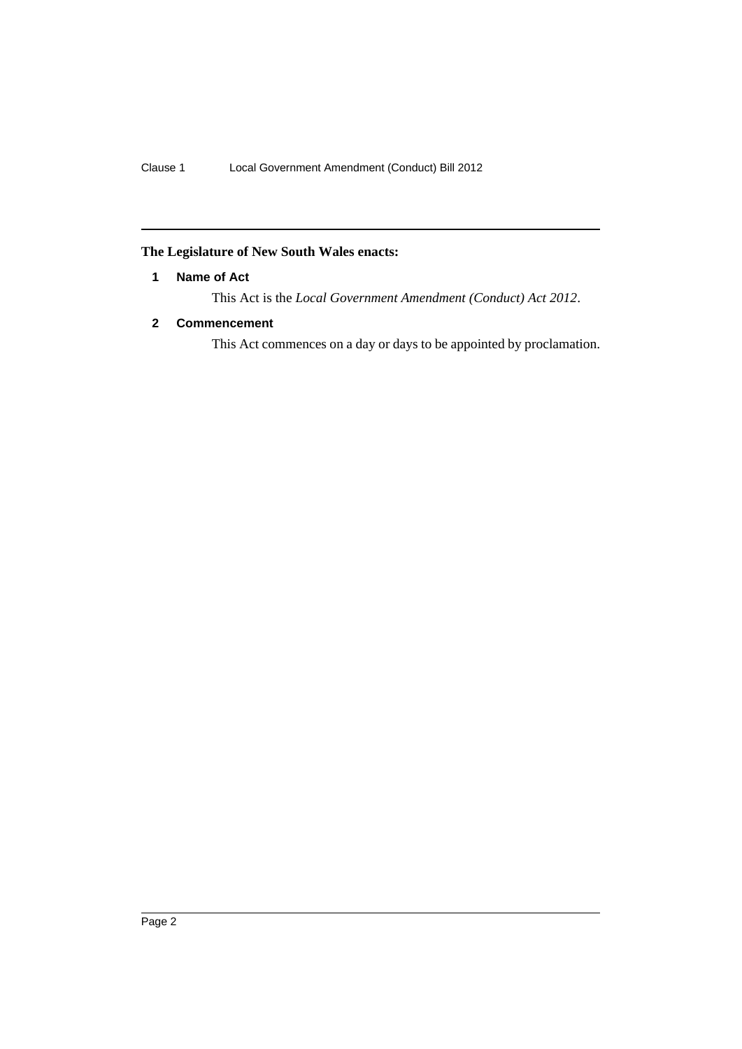# <span id="page-3-0"></span>**The Legislature of New South Wales enacts:**

# **1 Name of Act**

This Act is the *Local Government Amendment (Conduct) Act 2012*.

# <span id="page-3-1"></span>**2 Commencement**

This Act commences on a day or days to be appointed by proclamation.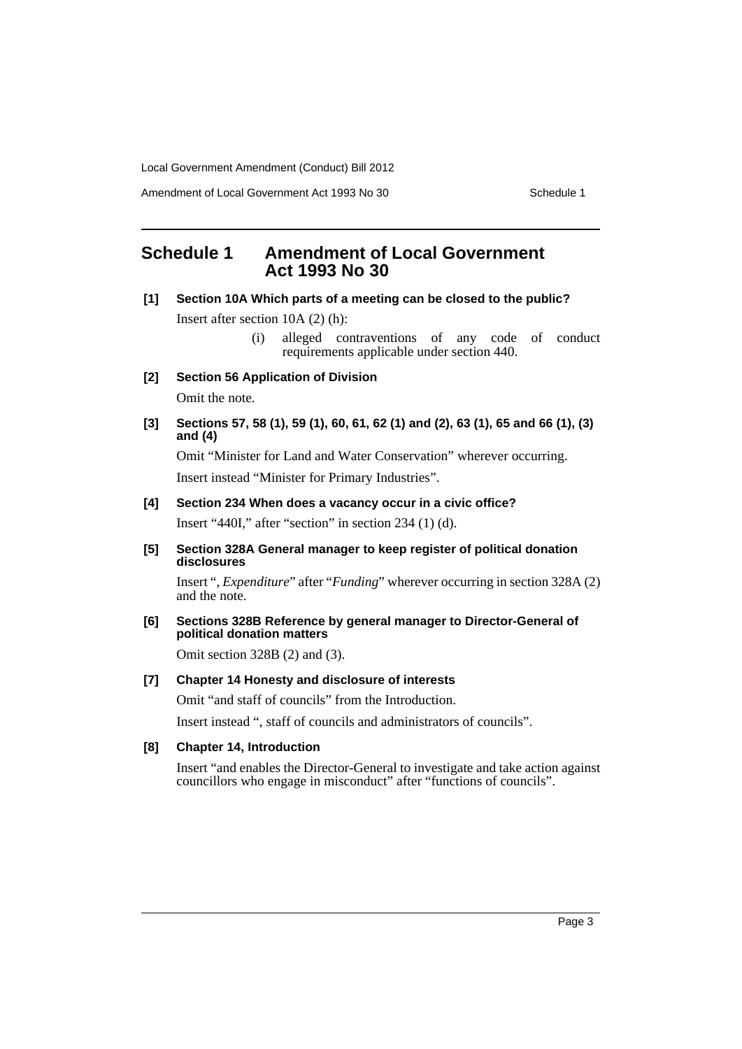Amendment of Local Government Act 1993 No 30 Schedule 1

# <span id="page-4-0"></span>**Schedule 1 Amendment of Local Government Act 1993 No 30**

**[1] Section 10A Which parts of a meeting can be closed to the public?**

Insert after section 10A (2) (h):

- (i) alleged contraventions of any code of conduct requirements applicable under section 440.
- **[2] Section 56 Application of Division**

Omit the note.

**[3] Sections 57, 58 (1), 59 (1), 60, 61, 62 (1) and (2), 63 (1), 65 and 66 (1), (3) and (4)**

Omit "Minister for Land and Water Conservation" wherever occurring. Insert instead "Minister for Primary Industries".

**[4] Section 234 When does a vacancy occur in a civic office?**

Insert "440I," after "section" in section 234 (1) (d).

**[5] Section 328A General manager to keep register of political donation disclosures**

Insert "*, Expenditure*" after "*Funding*" wherever occurring in section 328A (2) and the note.

**[6] Sections 328B Reference by general manager to Director-General of political donation matters**

Omit section 328B (2) and (3).

# **[7] Chapter 14 Honesty and disclosure of interests**

Omit "and staff of councils" from the Introduction.

Insert instead ", staff of councils and administrators of councils".

## **[8] Chapter 14, Introduction**

Insert "and enables the Director-General to investigate and take action against councillors who engage in misconduct" after "functions of councils".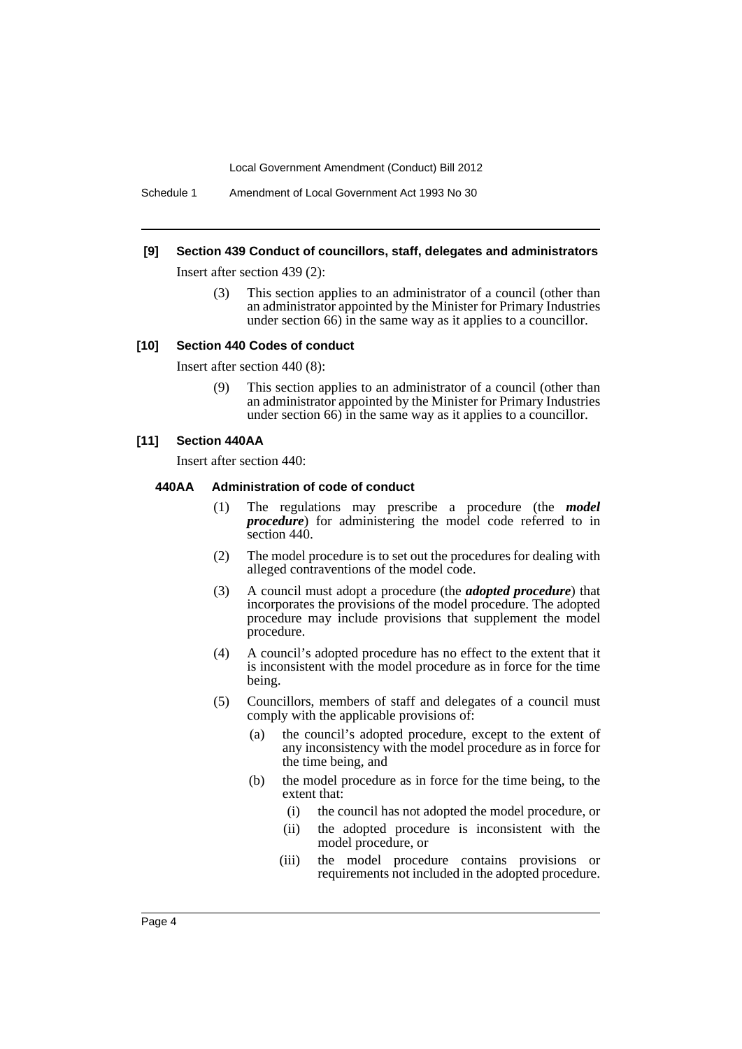Schedule 1 Amendment of Local Government Act 1993 No 30

#### **[9] Section 439 Conduct of councillors, staff, delegates and administrators**

Insert after section 439 (2):

(3) This section applies to an administrator of a council (other than an administrator appointed by the Minister for Primary Industries under section 66) in the same way as it applies to a councillor.

#### **[10] Section 440 Codes of conduct**

Insert after section 440 (8):

(9) This section applies to an administrator of a council (other than an administrator appointed by the Minister for Primary Industries under section 66) in the same way as it applies to a councillor.

#### **[11] Section 440AA**

Insert after section 440:

#### **440AA Administration of code of conduct**

- (1) The regulations may prescribe a procedure (the *model procedure*) for administering the model code referred to in section 440.
- (2) The model procedure is to set out the procedures for dealing with alleged contraventions of the model code.
- (3) A council must adopt a procedure (the *adopted procedure*) that incorporates the provisions of the model procedure. The adopted procedure may include provisions that supplement the model procedure.
- (4) A council's adopted procedure has no effect to the extent that it is inconsistent with the model procedure as in force for the time being.
- (5) Councillors, members of staff and delegates of a council must comply with the applicable provisions of:
	- (a) the council's adopted procedure, except to the extent of any inconsistency with the model procedure as in force for the time being, and
	- (b) the model procedure as in force for the time being, to the extent that:
		- (i) the council has not adopted the model procedure, or
		- (ii) the adopted procedure is inconsistent with the model procedure, or
		- (iii) the model procedure contains provisions or requirements not included in the adopted procedure.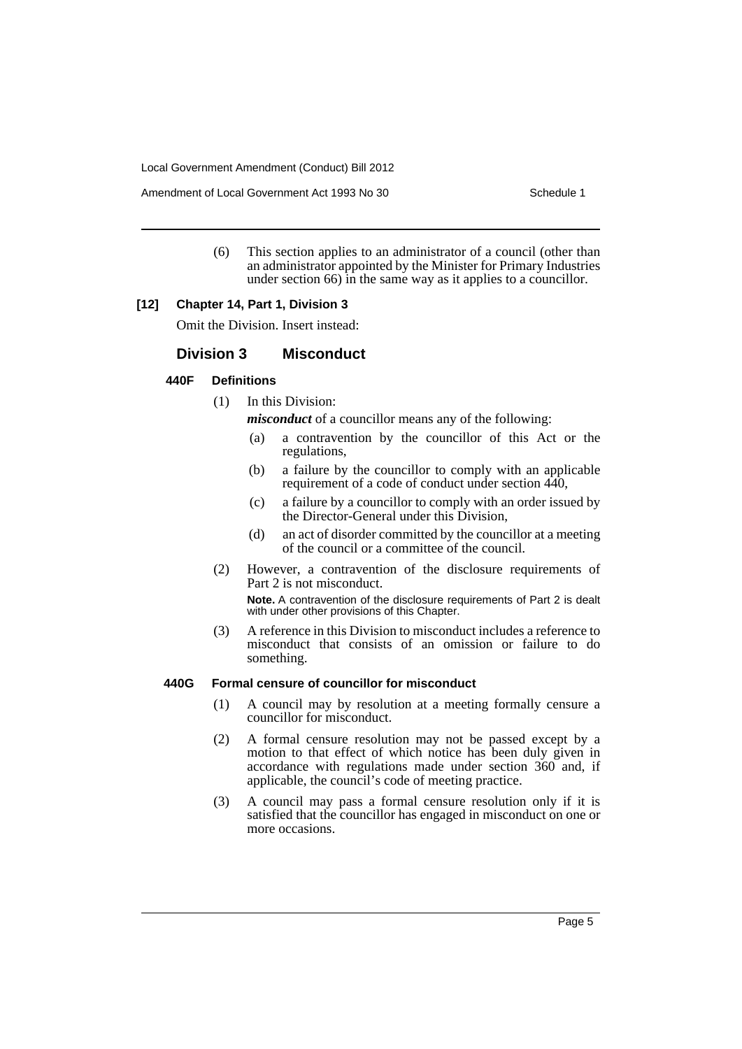Amendment of Local Government Act 1993 No 30 Schedule 1

(6) This section applies to an administrator of a council (other than an administrator appointed by the Minister for Primary Industries under section 66) in the same way as it applies to a councillor.

#### **[12] Chapter 14, Part 1, Division 3**

Omit the Division. Insert instead:

### **Division 3 Misconduct**

#### **440F Definitions**

(1) In this Division:

*misconduct* of a councillor means any of the following:

- (a) a contravention by the councillor of this Act or the regulations,
- (b) a failure by the councillor to comply with an applicable requirement of a code of conduct under section 440,
- (c) a failure by a councillor to comply with an order issued by the Director-General under this Division,
- (d) an act of disorder committed by the councillor at a meeting of the council or a committee of the council.
- (2) However, a contravention of the disclosure requirements of Part 2 is not misconduct.

**Note.** A contravention of the disclosure requirements of Part 2 is dealt with under other provisions of this Chapter.

(3) A reference in this Division to misconduct includes a reference to misconduct that consists of an omission or failure to do something.

#### **440G Formal censure of councillor for misconduct**

- (1) A council may by resolution at a meeting formally censure a councillor for misconduct.
- (2) A formal censure resolution may not be passed except by a motion to that effect of which notice has been duly given in accordance with regulations made under section 360 and, if applicable, the council's code of meeting practice.
- (3) A council may pass a formal censure resolution only if it is satisfied that the councillor has engaged in misconduct on one or more occasions.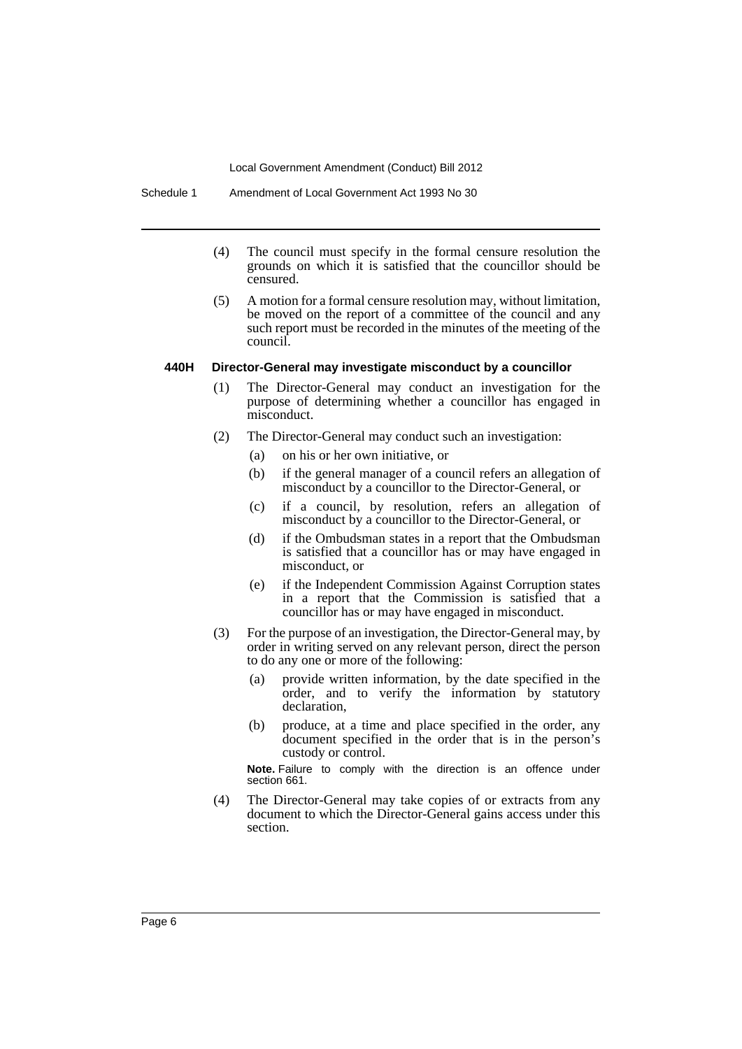Schedule 1 Amendment of Local Government Act 1993 No 30

- (4) The council must specify in the formal censure resolution the grounds on which it is satisfied that the councillor should be censured.
- (5) A motion for a formal censure resolution may, without limitation, be moved on the report of a committee of the council and any such report must be recorded in the minutes of the meeting of the council.

#### **440H Director-General may investigate misconduct by a councillor**

- (1) The Director-General may conduct an investigation for the purpose of determining whether a councillor has engaged in misconduct.
- (2) The Director-General may conduct such an investigation:
	- (a) on his or her own initiative, or
	- (b) if the general manager of a council refers an allegation of misconduct by a councillor to the Director-General, or
	- (c) if a council, by resolution, refers an allegation of misconduct by a councillor to the Director-General, or
	- (d) if the Ombudsman states in a report that the Ombudsman is satisfied that a councillor has or may have engaged in misconduct, or
	- (e) if the Independent Commission Against Corruption states in a report that the Commission is satisfied that a councillor has or may have engaged in misconduct.
- (3) For the purpose of an investigation, the Director-General may, by order in writing served on any relevant person, direct the person to do any one or more of the following:
	- (a) provide written information, by the date specified in the order, and to verify the information by statutory declaration,
	- (b) produce, at a time and place specified in the order, any document specified in the order that is in the person's custody or control.

**Note.** Failure to comply with the direction is an offence under section 661.

(4) The Director-General may take copies of or extracts from any document to which the Director-General gains access under this section.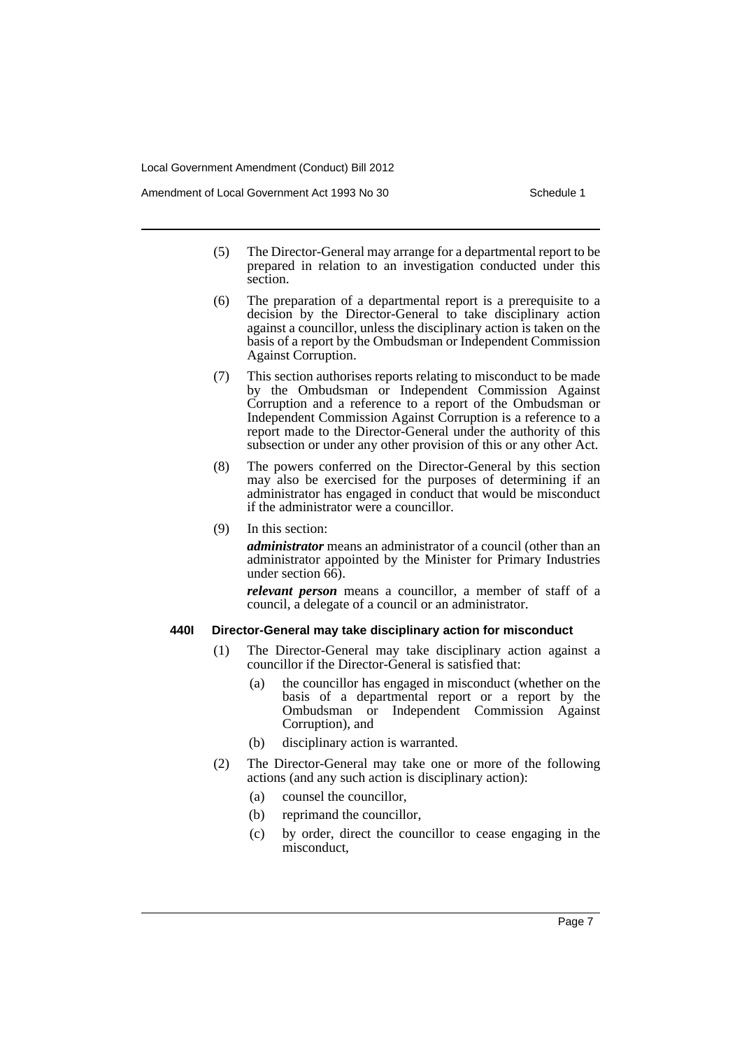Amendment of Local Government Act 1993 No 30 Schedule 1

- (5) The Director-General may arrange for a departmental report to be prepared in relation to an investigation conducted under this section.
- (6) The preparation of a departmental report is a prerequisite to a decision by the Director-General to take disciplinary action against a councillor, unless the disciplinary action is taken on the basis of a report by the Ombudsman or Independent Commission Against Corruption.
- (7) This section authorises reports relating to misconduct to be made by the Ombudsman or Independent Commission Against Corruption and a reference to a report of the Ombudsman or Independent Commission Against Corruption is a reference to a report made to the Director-General under the authority of this subsection or under any other provision of this or any other Act.
- (8) The powers conferred on the Director-General by this section may also be exercised for the purposes of determining if an administrator has engaged in conduct that would be misconduct if the administrator were a councillor.
- (9) In this section:

*administrator* means an administrator of a council (other than an administrator appointed by the Minister for Primary Industries under section 66).

*relevant person* means a councillor, a member of staff of a council, a delegate of a council or an administrator.

#### **440I Director-General may take disciplinary action for misconduct**

- (1) The Director-General may take disciplinary action against a councillor if the Director-General is satisfied that:
	- (a) the councillor has engaged in misconduct (whether on the basis of a departmental report or a report by the Ombudsman or Independent Commission Against Corruption), and
	- (b) disciplinary action is warranted.
- (2) The Director-General may take one or more of the following actions (and any such action is disciplinary action):
	- (a) counsel the councillor,
	- (b) reprimand the councillor,
	- (c) by order, direct the councillor to cease engaging in the misconduct,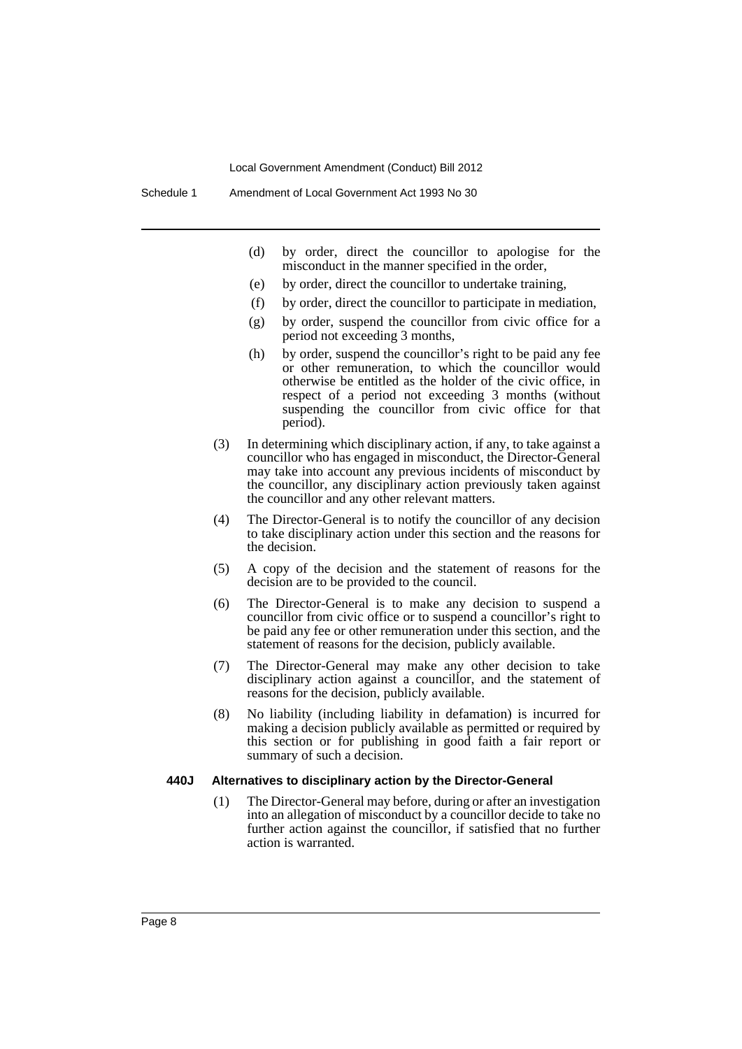- (d) by order, direct the councillor to apologise for the misconduct in the manner specified in the order,
- (e) by order, direct the councillor to undertake training,
- (f) by order, direct the councillor to participate in mediation,
- (g) by order, suspend the councillor from civic office for a period not exceeding 3 months,
- (h) by order, suspend the councillor's right to be paid any fee or other remuneration, to which the councillor would otherwise be entitled as the holder of the civic office, in respect of a period not exceeding 3 months (without suspending the councillor from civic office for that period).
- (3) In determining which disciplinary action, if any, to take against a councillor who has engaged in misconduct, the Director-General may take into account any previous incidents of misconduct by the councillor, any disciplinary action previously taken against the councillor and any other relevant matters.
- (4) The Director-General is to notify the councillor of any decision to take disciplinary action under this section and the reasons for the decision.
- (5) A copy of the decision and the statement of reasons for the decision are to be provided to the council.
- (6) The Director-General is to make any decision to suspend a councillor from civic office or to suspend a councillor's right to be paid any fee or other remuneration under this section, and the statement of reasons for the decision, publicly available.
- (7) The Director-General may make any other decision to take disciplinary action against a councillor, and the statement of reasons for the decision, publicly available.
- (8) No liability (including liability in defamation) is incurred for making a decision publicly available as permitted or required by this section or for publishing in good faith a fair report or summary of such a decision.

#### **440J Alternatives to disciplinary action by the Director-General**

(1) The Director-General may before, during or after an investigation into an allegation of misconduct by a councillor decide to take no further action against the councillor, if satisfied that no further action is warranted.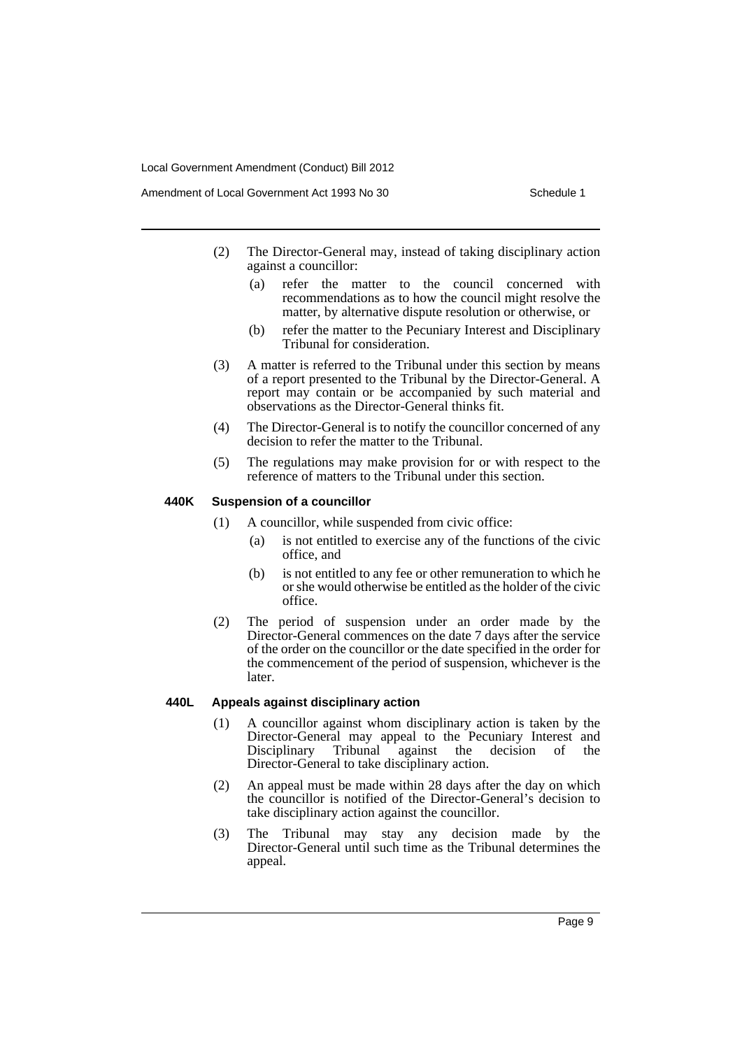- (2) The Director-General may, instead of taking disciplinary action against a councillor:
	- (a) refer the matter to the council concerned with recommendations as to how the council might resolve the matter, by alternative dispute resolution or otherwise, or
	- (b) refer the matter to the Pecuniary Interest and Disciplinary Tribunal for consideration.
- (3) A matter is referred to the Tribunal under this section by means of a report presented to the Tribunal by the Director-General. A report may contain or be accompanied by such material and observations as the Director-General thinks fit.
- (4) The Director-General is to notify the councillor concerned of any decision to refer the matter to the Tribunal.
- (5) The regulations may make provision for or with respect to the reference of matters to the Tribunal under this section.

#### **440K Suspension of a councillor**

- (1) A councillor, while suspended from civic office:
	- (a) is not entitled to exercise any of the functions of the civic office, and
	- (b) is not entitled to any fee or other remuneration to which he or she would otherwise be entitled as the holder of the civic office.
- (2) The period of suspension under an order made by the Director-General commences on the date 7 days after the service of the order on the councillor or the date specified in the order for the commencement of the period of suspension, whichever is the later.

### **440L Appeals against disciplinary action**

- (1) A councillor against whom disciplinary action is taken by the Director-General may appeal to the Pecuniary Interest and Disciplinary Tribunal against the decision of the Director-General to take disciplinary action.
- (2) An appeal must be made within 28 days after the day on which the councillor is notified of the Director-General's decision to take disciplinary action against the councillor.
- (3) The Tribunal may stay any decision made by the Director-General until such time as the Tribunal determines the appeal.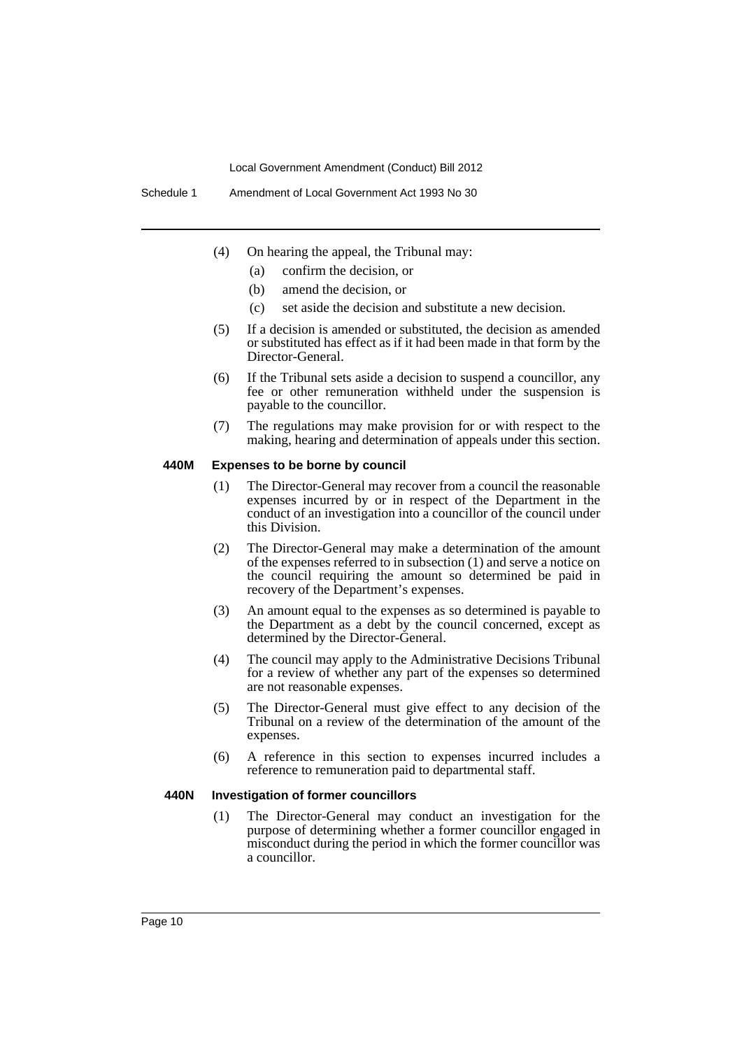- (4) On hearing the appeal, the Tribunal may:
	- (a) confirm the decision, or
	- (b) amend the decision, or
	- (c) set aside the decision and substitute a new decision.
- (5) If a decision is amended or substituted, the decision as amended or substituted has effect as if it had been made in that form by the Director-General.
- (6) If the Tribunal sets aside a decision to suspend a councillor, any fee or other remuneration withheld under the suspension is payable to the councillor.
- (7) The regulations may make provision for or with respect to the making, hearing and determination of appeals under this section.

#### **440M Expenses to be borne by council**

- (1) The Director-General may recover from a council the reasonable expenses incurred by or in respect of the Department in the conduct of an investigation into a councillor of the council under this Division.
- (2) The Director-General may make a determination of the amount of the expenses referred to in subsection (1) and serve a notice on the council requiring the amount so determined be paid in recovery of the Department's expenses.
- (3) An amount equal to the expenses as so determined is payable to the Department as a debt by the council concerned, except as determined by the Director-General.
- (4) The council may apply to the Administrative Decisions Tribunal for a review of whether any part of the expenses so determined are not reasonable expenses.
- (5) The Director-General must give effect to any decision of the Tribunal on a review of the determination of the amount of the expenses.
- (6) A reference in this section to expenses incurred includes a reference to remuneration paid to departmental staff.

#### **440N Investigation of former councillors**

(1) The Director-General may conduct an investigation for the purpose of determining whether a former councillor engaged in misconduct during the period in which the former councillor was a councillor.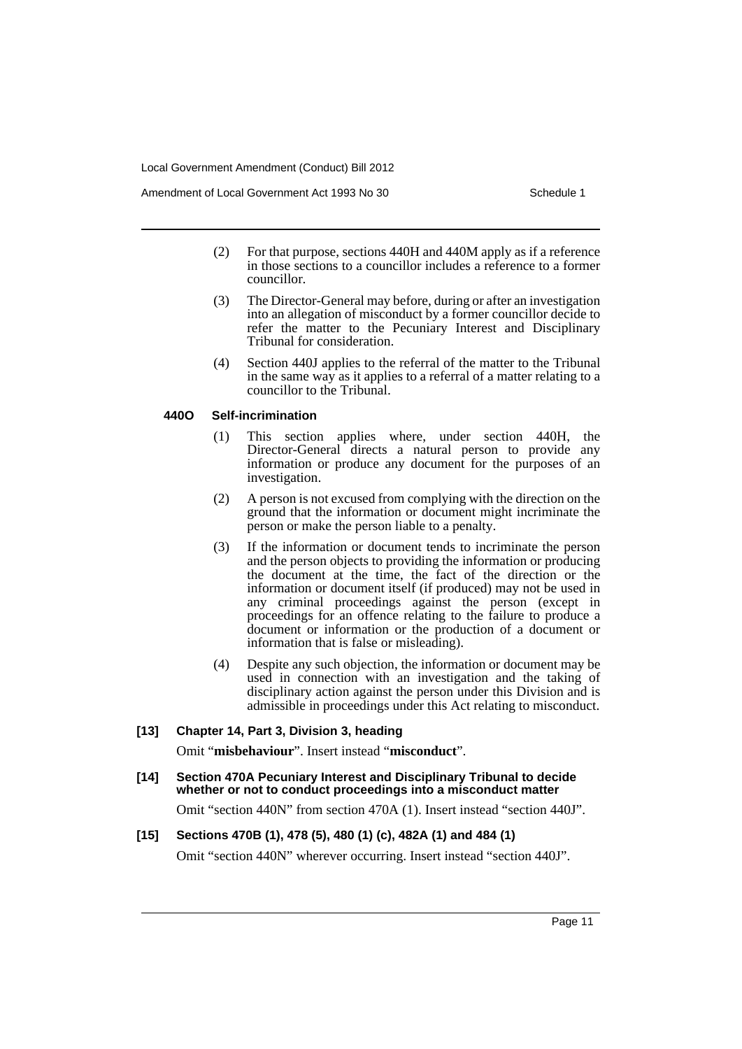Amendment of Local Government Act 1993 No 30 Schedule 1

- (2) For that purpose, sections 440H and 440M apply as if a reference in those sections to a councillor includes a reference to a former councillor.
- (3) The Director-General may before, during or after an investigation into an allegation of misconduct by a former councillor decide to refer the matter to the Pecuniary Interest and Disciplinary Tribunal for consideration.
- (4) Section 440J applies to the referral of the matter to the Tribunal in the same way as it applies to a referral of a matter relating to a councillor to the Tribunal.

# **440O Self-incrimination**

- (1) This section applies where, under section 440H, the Director-General directs a natural person to provide any information or produce any document for the purposes of an investigation.
- (2) A person is not excused from complying with the direction on the ground that the information or document might incriminate the person or make the person liable to a penalty.
- (3) If the information or document tends to incriminate the person and the person objects to providing the information or producing the document at the time, the fact of the direction or the information or document itself (if produced) may not be used in any criminal proceedings against the person (except in proceedings for an offence relating to the failure to produce a document or information or the production of a document or information that is false or misleading).
- (4) Despite any such objection, the information or document may be used in connection with an investigation and the taking of disciplinary action against the person under this Division and is admissible in proceedings under this Act relating to misconduct.

# **[13] Chapter 14, Part 3, Division 3, heading**

Omit "**misbehaviour**". Insert instead "**misconduct**".

**[14] Section 470A Pecuniary Interest and Disciplinary Tribunal to decide whether or not to conduct proceedings into a misconduct matter**

Omit "section 440N" from section 470A (1). Insert instead "section 440J".

# **[15] Sections 470B (1), 478 (5), 480 (1) (c), 482A (1) and 484 (1)**

Omit "section 440N" wherever occurring. Insert instead "section 440J".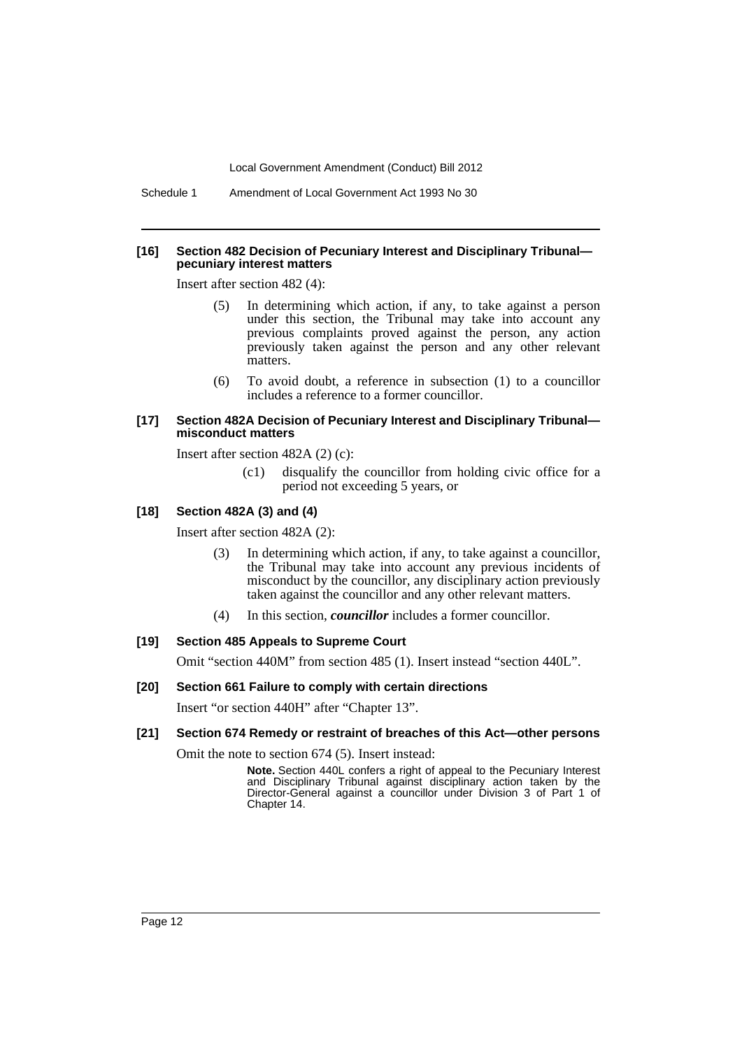Schedule 1 Amendment of Local Government Act 1993 No 30

#### **[16] Section 482 Decision of Pecuniary Interest and Disciplinary Tribunal pecuniary interest matters**

Insert after section 482 (4):

- (5) In determining which action, if any, to take against a person under this section, the Tribunal may take into account any previous complaints proved against the person, any action previously taken against the person and any other relevant matters.
- (6) To avoid doubt, a reference in subsection (1) to a councillor includes a reference to a former councillor.

#### **[17] Section 482A Decision of Pecuniary Interest and Disciplinary Tribunal misconduct matters**

Insert after section 482A (2) (c):

(c1) disqualify the councillor from holding civic office for a period not exceeding 5 years, or

# **[18] Section 482A (3) and (4)**

Insert after section 482A (2):

- (3) In determining which action, if any, to take against a councillor, the Tribunal may take into account any previous incidents of misconduct by the councillor, any disciplinary action previously taken against the councillor and any other relevant matters.
- (4) In this section, *councillor* includes a former councillor.

# **[19] Section 485 Appeals to Supreme Court**

Omit "section 440M" from section 485 (1). Insert instead "section 440L".

# **[20] Section 661 Failure to comply with certain directions**

Insert "or section 440H" after "Chapter 13".

# **[21] Section 674 Remedy or restraint of breaches of this Act—other persons**

Omit the note to section 674 (5). Insert instead:

**Note.** Section 440L confers a right of appeal to the Pecuniary Interest and Disciplinary Tribunal against disciplinary action taken by the Director-General against a councillor under Division 3 of Part 1 of Chapter 14.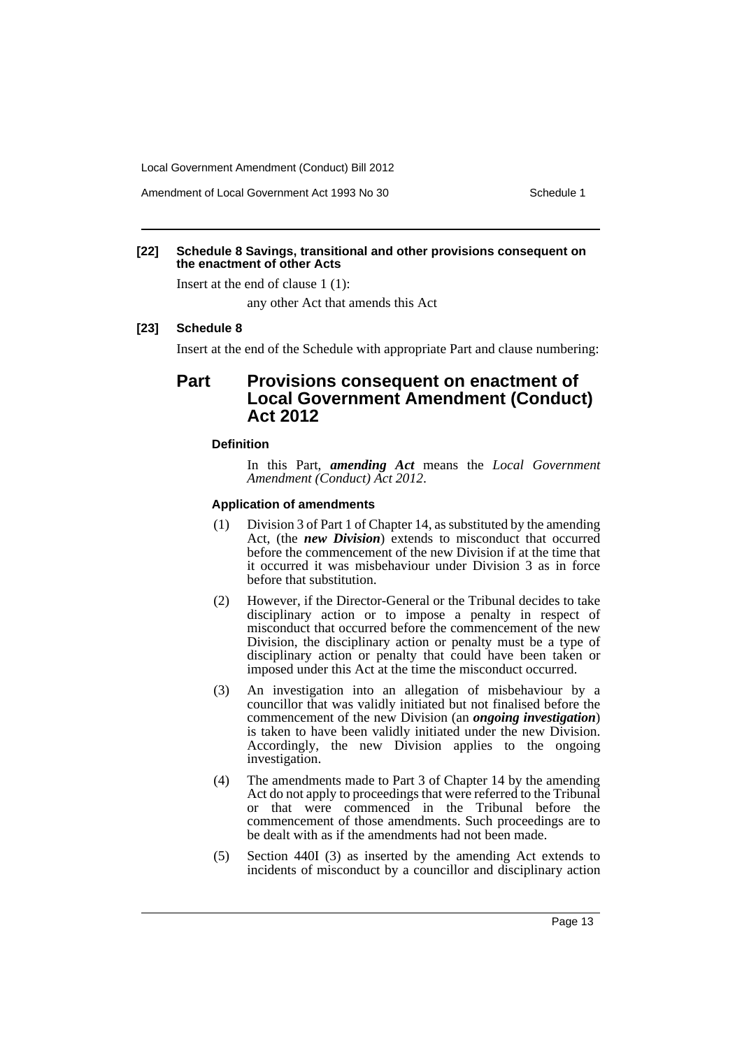Amendment of Local Government Act 1993 No 30 Schedule 1

### **[22] Schedule 8 Savings, transitional and other provisions consequent on the enactment of other Acts**

Insert at the end of clause 1 (1):

any other Act that amends this Act

### **[23] Schedule 8**

Insert at the end of the Schedule with appropriate Part and clause numbering:

# **Part Provisions consequent on enactment of Local Government Amendment (Conduct) Act 2012**

### **Definition**

In this Part, *amending Act* means the *Local Government Amendment (Conduct) Act 2012*.

#### **Application of amendments**

- (1) Division 3 of Part 1 of Chapter 14, as substituted by the amending Act, (the *new Division*) extends to misconduct that occurred before the commencement of the new Division if at the time that it occurred it was misbehaviour under Division 3 as in force before that substitution.
- (2) However, if the Director-General or the Tribunal decides to take disciplinary action or to impose a penalty in respect of misconduct that occurred before the commencement of the new Division, the disciplinary action or penalty must be a type of disciplinary action or penalty that could have been taken or imposed under this Act at the time the misconduct occurred.
- (3) An investigation into an allegation of misbehaviour by a councillor that was validly initiated but not finalised before the commencement of the new Division (an *ongoing investigation*) is taken to have been validly initiated under the new Division. Accordingly, the new Division applies to the ongoing investigation.
- (4) The amendments made to Part 3 of Chapter 14 by the amending Act do not apply to proceedings that were referred to the Tribunal or that were commenced in the Tribunal before the commencement of those amendments. Such proceedings are to be dealt with as if the amendments had not been made.
- (5) Section 440I (3) as inserted by the amending Act extends to incidents of misconduct by a councillor and disciplinary action